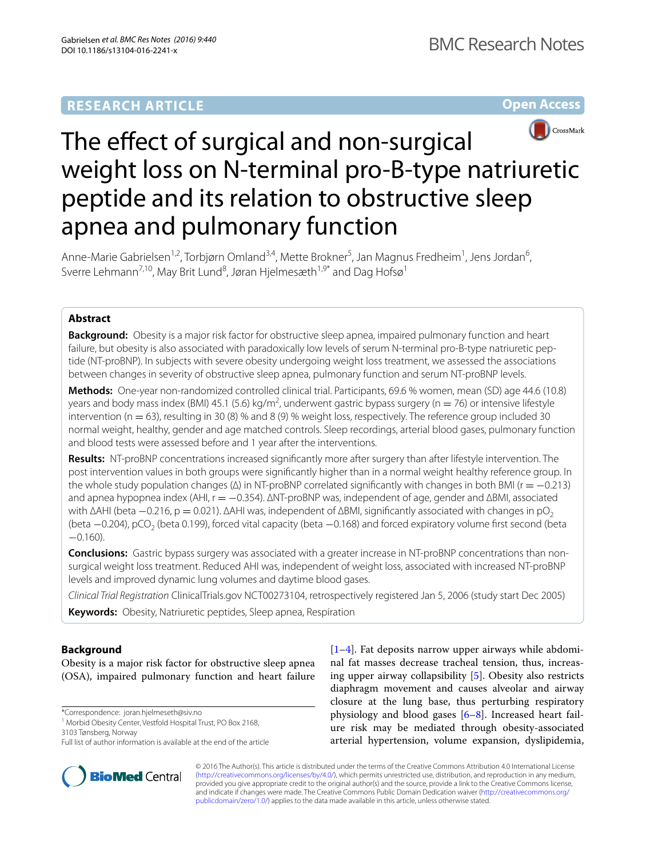**Open Access**



# The effect of surgical and non-surgical weight loss on N-terminal pro-B-type natriuretic peptide and its relation to obstructive sleep apnea and pulmonary function

Anne-Marie Gabrielsen<sup>1,2</sup>, Torbjørn Omland<sup>3,4</sup>, Mette Brokner<sup>5</sup>, Jan Magnus Fredheim<sup>1</sup>, Jens Jordan<sup>6</sup>, Sverre Lehmann<sup>7,10</sup>, May Brit Lund<sup>8</sup>, Jøran Hjelmesæth<sup>1,9\*</sup> and Dag Hofsø<sup>1</sup>

# **Abstract**

**Background:** Obesity is a major risk factor for obstructive sleep apnea, impaired pulmonary function and heart failure, but obesity is also associated with paradoxically low levels of serum N-terminal pro-B-type natriuretic peptide (NT-proBNP). In subjects with severe obesity undergoing weight loss treatment, we assessed the associations between changes in severity of obstructive sleep apnea, pulmonary function and serum NT-proBNP levels.

**Methods:** One-year non-randomized controlled clinical trial. Participants, 69.6 % women, mean (SD) age 44.6 (10.8) years and body mass index (BMI) 45.1 (5.6) kg/m<sup>2</sup>, underwent gastric bypass surgery (n = 76) or intensive lifestyle intervention ( $n = 63$ ), resulting in 30 (8) % and 8 (9) % weight loss, respectively. The reference group included 30 normal weight, healthy, gender and age matched controls. Sleep recordings, arterial blood gases, pulmonary function and blood tests were assessed before and 1 year after the interventions.

**Results:** NT-proBNP concentrations increased significantly more after surgery than after lifestyle intervention. The post intervention values in both groups were significantly higher than in a normal weight healthy reference group. In the whole study population changes (Δ) in NT-proBNP correlated significantly with changes in both BMI (r = -0.213) and apnea hypopnea index (AHI, r = −0.354). ∆NT-proBNP was, independent of age, gender and ∆BMI, associated with  $\Delta$ AHI (beta −0.216, p = 0.021).  $\Delta$ AHI was, independent of  $\Delta$ BMI, significantly associated with changes in pO<sub>2</sub> (beta −0.204), pCO<sub>2</sub> (beta 0.199), forced vital capacity (beta −0.168) and forced expiratory volume first second (beta −0.160).

**Conclusions:** Gastric bypass surgery was associated with a greater increase in NT-proBNP concentrations than nonsurgical weight loss treatment. Reduced AHI was, independent of weight loss, associated with increased NT-proBNP levels and improved dynamic lung volumes and daytime blood gases.

*Clinical Trial Registration* ClinicalTrials.gov NCT00273104, retrospectively registered Jan 5, 2006 (study start Dec 2005) **Keywords:** Obesity, Natriuretic peptides, Sleep apnea, Respiration

# **Background**

Obesity is a major risk factor for obstructive sleep apnea (OSA), impaired pulmonary function and heart failure

\*Correspondence: joran.hjelmeseth@siv.no

<sup>1</sup> Morbid Obesity Center, Vestfold Hospital Trust, PO Box 2168,

3103 Tønsberg, Norway





© 2016 The Author(s). This article is distributed under the terms of the Creative Commons Attribution 4.0 International License [\(http://creativecommons.org/licenses/by/4.0/\)](http://creativecommons.org/licenses/by/4.0/), which permits unrestricted use, distribution, and reproduction in any medium, provided you give appropriate credit to the original author(s) and the source, provide a link to the Creative Commons license, and indicate if changes were made. The Creative Commons Public Domain Dedication waiver ([http://creativecommons.org/](http://creativecommons.org/publicdomain/zero/1.0/) [publicdomain/zero/1.0/](http://creativecommons.org/publicdomain/zero/1.0/)) applies to the data made available in this article, unless otherwise stated.

Full list of author information is available at the end of the article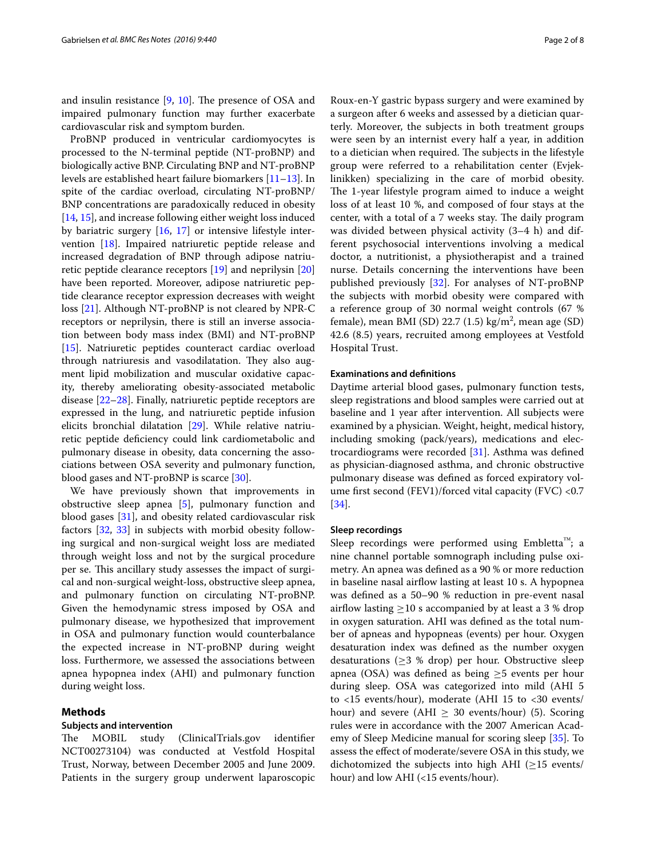and insulin resistance [[9](#page-6-5), [10\]](#page-6-6). The presence of OSA and impaired pulmonary function may further exacerbate cardiovascular risk and symptom burden.

ProBNP produced in ventricular cardiomyocytes is processed to the N-terminal peptide (NT-proBNP) and biologically active BNP. Circulating BNP and NT-proBNP levels are established heart failure biomarkers [\[11](#page-6-7)[–13\]](#page-6-8). In spite of the cardiac overload, circulating NT-proBNP/ BNP concentrations are paradoxically reduced in obesity [[14,](#page-6-9) [15\]](#page-6-10), and increase following either weight loss induced by bariatric surgery [[16](#page-6-11), [17](#page-7-0)] or intensive lifestyle intervention [[18\]](#page-7-1). Impaired natriuretic peptide release and increased degradation of BNP through adipose natriuretic peptide clearance receptors [\[19\]](#page-7-2) and neprilysin [[20](#page-7-3)] have been reported. Moreover, adipose natriuretic peptide clearance receptor expression decreases with weight loss [[21\]](#page-7-4). Although NT-proBNP is not cleared by NPR-C receptors or neprilysin, there is still an inverse association between body mass index (BMI) and NT-proBNP [[15\]](#page-6-10). Natriuretic peptides counteract cardiac overload through natriuresis and vasodilatation. They also augment lipid mobilization and muscular oxidative capacity, thereby ameliorating obesity-associated metabolic disease [[22–](#page-7-5)[28](#page-7-6)]. Finally, natriuretic peptide receptors are expressed in the lung, and natriuretic peptide infusion elicits bronchial dilatation [[29\]](#page-7-7). While relative natriuretic peptide deficiency could link cardiometabolic and pulmonary disease in obesity, data concerning the associations between OSA severity and pulmonary function, blood gases and NT-proBNP is scarce [[30](#page-7-8)].

We have previously shown that improvements in obstructive sleep apnea [[5\]](#page-6-2), pulmonary function and blood gases [[31](#page-7-9)], and obesity related cardiovascular risk factors [[32](#page-7-10), [33](#page-7-11)] in subjects with morbid obesity following surgical and non-surgical weight loss are mediated through weight loss and not by the surgical procedure per se. This ancillary study assesses the impact of surgical and non-surgical weight-loss, obstructive sleep apnea, and pulmonary function on circulating NT-proBNP. Given the hemodynamic stress imposed by OSA and pulmonary disease, we hypothesized that improvement in OSA and pulmonary function would counterbalance the expected increase in NT-proBNP during weight loss. Furthermore, we assessed the associations between apnea hypopnea index (AHI) and pulmonary function during weight loss.

### **Methods**

#### **Subjects and intervention**

The MOBIL study (ClinicalTrials.gov identifier NCT00273104) was conducted at Vestfold Hospital Trust, Norway, between December 2005 and June 2009. Patients in the surgery group underwent laparoscopic

Roux-en-Y gastric bypass surgery and were examined by a surgeon after 6 weeks and assessed by a dietician quarterly. Moreover, the subjects in both treatment groups were seen by an internist every half a year, in addition to a dietician when required. The subjects in the lifestyle group were referred to a rehabilitation center (Evjeklinikken) specializing in the care of morbid obesity. The 1-year lifestyle program aimed to induce a weight loss of at least 10 %, and composed of four stays at the center, with a total of a 7 weeks stay. The daily program was divided between physical activity (3–4 h) and different psychosocial interventions involving a medical doctor, a nutritionist, a physiotherapist and a trained nurse. Details concerning the interventions have been published previously [\[32](#page-7-10)]. For analyses of NT-proBNP the subjects with morbid obesity were compared with a reference group of 30 normal weight controls (67 % female), mean BMI (SD) 22.7 (1.5)  $\text{kg/m}^2$ , mean age (SD) 42.6 (8.5) years, recruited among employees at Vestfold Hospital Trust.

#### **Examinations and definitions**

Daytime arterial blood gases, pulmonary function tests, sleep registrations and blood samples were carried out at baseline and 1 year after intervention. All subjects were examined by a physician. Weight, height, medical history, including smoking (pack/years), medications and electrocardiograms were recorded [\[31](#page-7-9)]. Asthma was defined as physician-diagnosed asthma, and chronic obstructive pulmonary disease was defined as forced expiratory volume first second (FEV1)/forced vital capacity (FVC) <0.7 [[34\]](#page-7-12).

#### **Sleep recordings**

Sleep recordings were performed using Embletta™; a nine channel portable somnograph including pulse oximetry. An apnea was defined as a 90 % or more reduction in baseline nasal airflow lasting at least 10 s. A hypopnea was defined as a 50–90 % reduction in pre-event nasal airflow lasting  $\geq$ 10 s accompanied by at least a 3 % drop in oxygen saturation. AHI was defined as the total number of apneas and hypopneas (events) per hour. Oxygen desaturation index was defined as the number oxygen desaturations ( $\geq$ 3 % drop) per hour. Obstructive sleep apnea (OSA) was defined as being  $\geq$ 5 events per hour during sleep. OSA was categorized into mild (AHI 5 to <15 events/hour), moderate (AHI 15 to <30 events/ hour) and severe (AHI  $\geq$  30 events/hour) (5). Scoring rules were in accordance with the 2007 American Academy of Sleep Medicine manual for scoring sleep [[35\]](#page-7-13). To assess the effect of moderate/severe OSA in this study, we dichotomized the subjects into high AHI ( $\geq$ 15 events/ hour) and low AHI (<15 events/hour).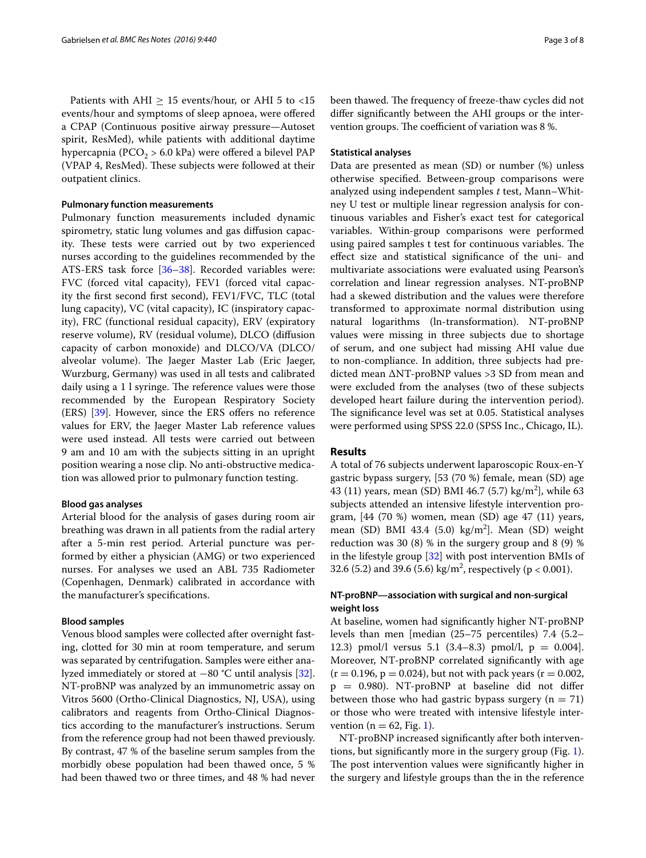Patients with AHI  $\geq 15$  events/hour, or AHI 5 to <15 events/hour and symptoms of sleep apnoea, were offered a CPAP (Continuous positive airway pressure—Autoset spirit, ResMed), while patients with additional daytime hypercapnia ( $PCO<sub>2</sub> > 6.0$  kPa) were offered a bilevel PAP (VPAP 4, ResMed). These subjects were followed at their outpatient clinics.

#### **Pulmonary function measurements**

Pulmonary function measurements included dynamic spirometry, static lung volumes and gas diffusion capacity. These tests were carried out by two experienced nurses according to the guidelines recommended by the ATS-ERS task force [\[36–](#page-7-14)[38\]](#page-7-15). Recorded variables were: FVC (forced vital capacity), FEV1 (forced vital capacity the first second first second), FEV1/FVC, TLC (total lung capacity), VC (vital capacity), IC (inspiratory capacity), FRC (functional residual capacity), ERV (expiratory reserve volume), RV (residual volume), DLCO (diffusion capacity of carbon monoxide) and DLCO/VA (DLCO/ alveolar volume). The Jaeger Master Lab (Eric Jaeger, Wurzburg, Germany) was used in all tests and calibrated daily using a 1 l syringe. The reference values were those recommended by the European Respiratory Society (ERS) [\[39\]](#page-7-16). However, since the ERS offers no reference values for ERV, the Jaeger Master Lab reference values were used instead. All tests were carried out between 9 am and 10 am with the subjects sitting in an upright position wearing a nose clip. No anti-obstructive medication was allowed prior to pulmonary function testing.

### **Blood gas analyses**

Arterial blood for the analysis of gases during room air breathing was drawn in all patients from the radial artery after a 5-min rest period. Arterial puncture was performed by either a physician (AMG) or two experienced nurses. For analyses we used an ABL 735 Radiometer (Copenhagen, Denmark) calibrated in accordance with the manufacturer's specifications.

## **Blood samples**

Venous blood samples were collected after overnight fasting, clotted for 30 min at room temperature, and serum was separated by centrifugation. Samples were either analyzed immediately or stored at −80 °C until analysis [\[32](#page-7-10)]. NT-proBNP was analyzed by an immunometric assay on Vitros 5600 (Ortho-Clinical Diagnostics, NJ, USA), using calibrators and reagents from Ortho-Clinical Diagnostics according to the manufacturer's instructions. Serum from the reference group had not been thawed previously. By contrast, 47 % of the baseline serum samples from the morbidly obese population had been thawed once, 5 % had been thawed two or three times, and 48 % had never been thawed. The frequency of freeze-thaw cycles did not differ significantly between the AHI groups or the intervention groups. The coefficient of variation was 8 %.

## **Statistical analyses**

Data are presented as mean (SD) or number (%) unless otherwise specified. Between-group comparisons were analyzed using independent samples *t* test, Mann–Whitney U test or multiple linear regression analysis for continuous variables and Fisher's exact test for categorical variables. Within-group comparisons were performed using paired samples t test for continuous variables. The effect size and statistical significance of the uni- and multivariate associations were evaluated using Pearson's correlation and linear regression analyses. NT-proBNP had a skewed distribution and the values were therefore transformed to approximate normal distribution using natural logarithms (ln-transformation). NT-proBNP values were missing in three subjects due to shortage of serum, and one subject had missing AHI value due to non-compliance. In addition, three subjects had predicted mean ΔNT-proBNP values >3 SD from mean and were excluded from the analyses (two of these subjects developed heart failure during the intervention period). The significance level was set at 0.05. Statistical analyses were performed using SPSS 22.0 (SPSS Inc., Chicago, IL).

## **Results**

A total of 76 subjects underwent laparoscopic Roux-en-Y gastric bypass surgery, [53 (70 %) female, mean (SD) age 43 (11) years, mean (SD) BMI 46.7 (5.7) kg/m<sup>2</sup>], while 63 subjects attended an intensive lifestyle intervention program,  $[44 (70 %)$  women, mean  $(SD)$  age  $47 (11)$  years, mean (SD) BMI 43.4 (5.0) kg/m<sup>2</sup>]. Mean (SD) weight reduction was 30 (8) % in the surgery group and 8 (9) % in the lifestyle group [\[32](#page-7-10)] with post intervention BMIs of 32.6 (5.2) and 39.6 (5.6) kg/m<sup>2</sup>, respectively ( $p < 0.001$ ).

# **NT‑proBNP—association with surgical and non‑surgical weight loss**

At baseline, women had significantly higher NT-proBNP levels than men [median (25–75 percentiles) 7.4 (5.2– 12.3) pmol/l versus 5.1  $(3.4–8.3)$  pmol/l, p = 0.004]. Moreover, NT-proBNP correlated significantly with age  $(r = 0.196, p = 0.024)$ , but not with pack years  $(r = 0.002,$ p = 0.980). NT-proBNP at baseline did not differ between those who had gastric bypass surgery  $(n = 71)$ or those who were treated with intensive lifestyle intervention ( $n = 62$ , Fig. [1](#page-3-0)).

NT-proBNP increased significantly after both interventions, but significantly more in the surgery group (Fig. [1](#page-3-0)). The post intervention values were significantly higher in the surgery and lifestyle groups than the in the reference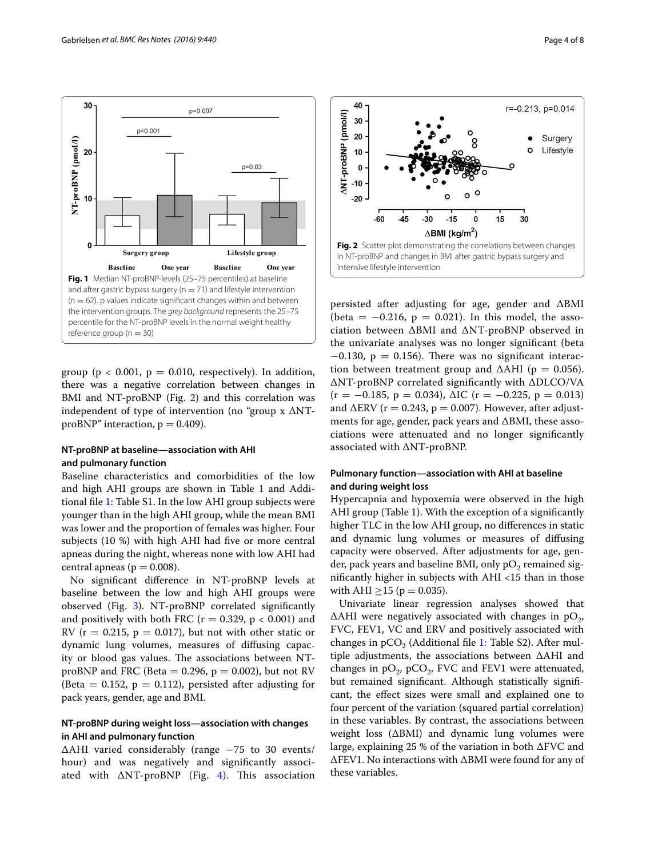

<span id="page-3-0"></span>group ( $p < 0.001$ ,  $p = 0.010$ , respectively). In addition, there was a negative correlation between changes in BMI and NT-proBNP (Fig. [2](#page-3-1)) and this correlation was independent of type of intervention (no "group  $x \Delta NT$ proBNP" interaction,  $p = 0.409$ ).

# **NT‑proBNP at baseline—association with AHI and pulmonary function**

Baseline characteristics and comorbidities of the low and high AHI groups are shown in Table [1](#page-4-0) and Additional file [1](#page-6-12): Table S1. In the low AHI group subjects were younger than in the high AHI group, while the mean BMI was lower and the proportion of females was higher. Four subjects (10 %) with high AHI had five or more central apneas during the night, whereas none with low AHI had central apneas ( $p = 0.008$ ).

No significant difference in NT-proBNP levels at baseline between the low and high AHI groups were observed (Fig. [3\)](#page-4-1). NT-proBNP correlated significantly and positively with both FRC ( $r = 0.329$ ,  $p < 0.001$ ) and RV ( $r = 0.215$ ,  $p = 0.017$ ), but not with other static or dynamic lung volumes, measures of diffusing capacity or blood gas values. The associations between NTproBNP and FRC (Beta =  $0.296$ , p =  $0.002$ ), but not RV (Beta  $= 0.152$ ,  $p = 0.112$ ), persisted after adjusting for pack years, gender, age and BMI.

# **NT‑proBNP during weight loss—association with changes in AHI and pulmonary function**

ΔAHI varied considerably (range −75 to 30 events/ hour) and was negatively and significantly associated with  $\triangle NT$ -proBNP (Fig. [4](#page-4-2)). This association



<span id="page-3-1"></span>persisted after adjusting for age, gender and ΔBMI (beta =  $-0.216$ , p = 0.021). In this model, the association between ΔBMI and ΔNT-proBNP observed in the univariate analyses was no longer significant (beta  $-0.130$ , p = 0.156). There was no significant interaction between treatment group and  $\Delta$ AHI (p = 0.056). ΔNT-proBNP correlated significantly with ΔDLCO/VA  $(r = -0.185, p = 0.034)$ ,  $\Delta IC$   $(r = -0.225, p = 0.013)$ and  $\triangle$ ERV (r = 0.243, p = 0.007). However, after adjustments for age, gender, pack years and ΔBMI, these associations were attenuated and no longer significantly associated with ΔNT-proBNP.

# **Pulmonary function—association with AHI at baseline and during weight loss**

Hypercapnia and hypoxemia were observed in the high AHI group (Table [1](#page-4-0)). With the exception of a significantly higher TLC in the low AHI group, no differences in static and dynamic lung volumes or measures of diffusing capacity were observed. After adjustments for age, gender, pack years and baseline BMI, only  $pO<sub>2</sub>$  remained significantly higher in subjects with AHI <15 than in those with AHI  $\geq$ 15 (p = 0.035).

Univariate linear regression analyses showed that  $\Delta$ AHI were negatively associated with changes in pO<sub>2</sub>, FVC, FEV1, VC and ERV and positively associated with changes in  $pCO<sub>2</sub>$  (Additional file [1:](#page-6-12) Table S2). After multiple adjustments, the associations between ΔAHI and changes in  $pO_2$ ,  $pCO_2$ , FVC and FEV1 were attenuated, but remained significant. Although statistically significant, the effect sizes were small and explained one to four percent of the variation (squared partial correlation) in these variables. By contrast, the associations between weight loss (ΔBMI) and dynamic lung volumes were large, explaining 25 % of the variation in both ΔFVC and ΔFEV1. No interactions with ΔBMI were found for any of these variables.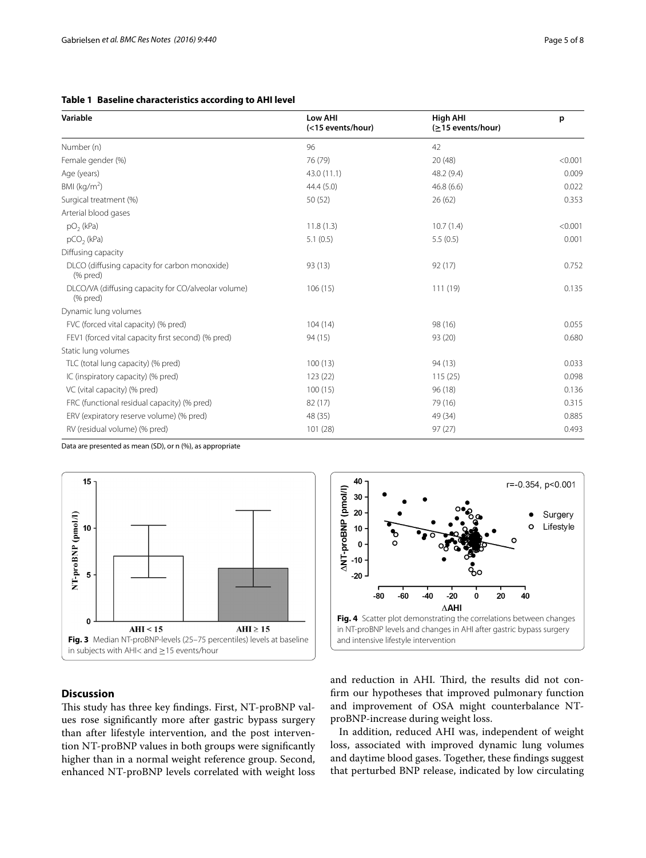# <span id="page-4-0"></span>**Table 1 Baseline characteristics according to AHI level**

| Variable                                                        | Low AHI<br>(<15 events/hour) | <b>High AHI</b><br>(≥15 events/hour) | p       |
|-----------------------------------------------------------------|------------------------------|--------------------------------------|---------|
| Number (n)                                                      | 96                           | 42                                   |         |
| Female gender (%)                                               | 76 (79)                      | 20 (48)                              | < 0.001 |
| Age (years)                                                     | 43.0 (11.1)                  | 48.2 (9.4)                           | 0.009   |
| BMI ( $kg/m2$ )                                                 | 44.4(5.0)                    | 46.8(6.6)                            | 0.022   |
| Surgical treatment (%)                                          | 50(52)                       | 26(62)                               | 0.353   |
| Arterial blood gases                                            |                              |                                      |         |
| $pO2$ (kPa)                                                     | 11.8(1.3)                    | 10.7(1.4)                            | < 0.001 |
| $pCO2$ (kPa)                                                    | 5.1(0.5)                     | 5.5(0.5)                             | 0.001   |
| Diffusing capacity                                              |                              |                                      |         |
| DLCO (diffusing capacity for carbon monoxide)<br>(% pred)       | 93 (13)                      | 92 (17)                              | 0.752   |
| DLCO/VA (diffusing capacity for CO/alveolar volume)<br>(% pred) | 106(15)                      | 111 (19)                             | 0.135   |
| Dynamic lung volumes                                            |                              |                                      |         |
| FVC (forced vital capacity) (% pred)                            | 104(14)                      | 98 (16)                              | 0.055   |
| FEV1 (forced vital capacity first second) (% pred)              | 94(15)                       | 93 (20)                              | 0.680   |
| Static lung volumes                                             |                              |                                      |         |
| TLC (total lung capacity) (% pred)                              | 100(13)                      | 94 (13)                              | 0.033   |
| IC (inspiratory capacity) (% pred)                              | 123(22)                      | 115(25)                              | 0.098   |
| VC (vital capacity) (% pred)                                    | 100(15)                      | 96 (18)                              | 0.136   |
| FRC (functional residual capacity) (% pred)                     | 82 (17)                      | 79 (16)                              | 0.315   |
| ERV (expiratory reserve volume) (% pred)                        | 48 (35)                      | 49 (34)                              | 0.885   |
| RV (residual volume) (% pred)                                   | 101 (28)                     | 97(27)                               | 0.493   |

Data are presented as mean (SD), or n (%), as appropriate





# <span id="page-4-1"></span>**Discussion**

This study has three key findings. First, NT-proBNP values rose significantly more after gastric bypass surgery than after lifestyle intervention, and the post intervention NT-proBNP values in both groups were significantly higher than in a normal weight reference group. Second, enhanced NT-proBNP levels correlated with weight loss <span id="page-4-2"></span>and reduction in AHI. Third, the results did not confirm our hypotheses that improved pulmonary function and improvement of OSA might counterbalance NTproBNP-increase during weight loss.

In addition, reduced AHI was, independent of weight loss, associated with improved dynamic lung volumes and daytime blood gases. Together, these findings suggest that perturbed BNP release, indicated by low circulating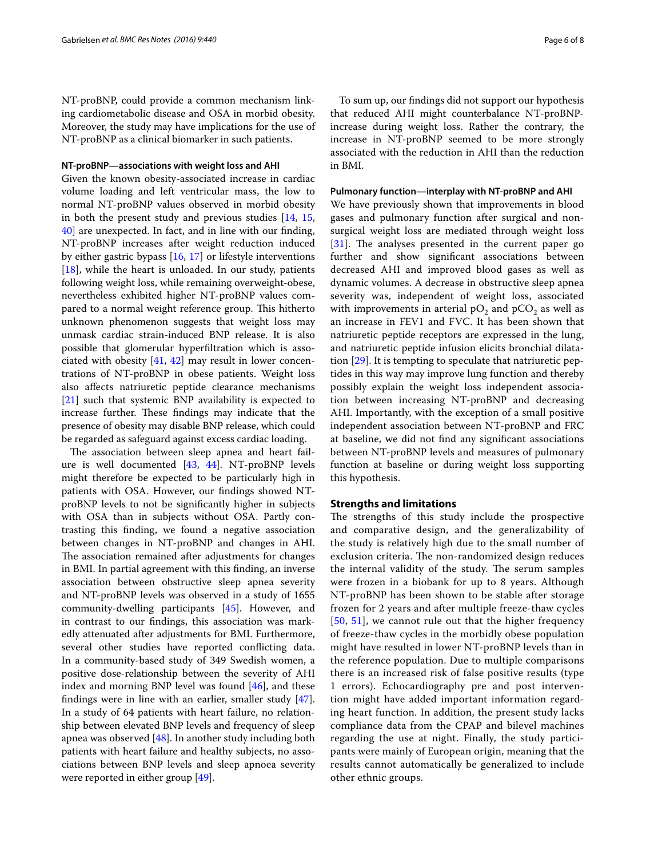NT-proBNP, could provide a common mechanism linking cardiometabolic disease and OSA in morbid obesity. Moreover, the study may have implications for the use of NT-proBNP as a clinical biomarker in such patients.

#### **NT‑proBNP—associations with weight loss and AHI**

Given the known obesity-associated increase in cardiac volume loading and left ventricular mass, the low to normal NT-proBNP values observed in morbid obesity in both the present study and previous studies [[14](#page-6-9), [15](#page-6-10), [40\]](#page-7-17) are unexpected. In fact, and in line with our finding, NT-proBNP increases after weight reduction induced by either gastric bypass [[16](#page-6-11), [17](#page-7-0)] or lifestyle interventions  $[18]$  $[18]$ , while the heart is unloaded. In our study, patients following weight loss, while remaining overweight-obese, nevertheless exhibited higher NT-proBNP values compared to a normal weight reference group. This hitherto unknown phenomenon suggests that weight loss may unmask cardiac strain-induced BNP release. It is also possible that glomerular hyperfiltration which is associated with obesity [[41,](#page-7-18) [42\]](#page-7-19) may result in lower concentrations of NT-proBNP in obese patients. Weight loss also affects natriuretic peptide clearance mechanisms [[21\]](#page-7-4) such that systemic BNP availability is expected to increase further. These findings may indicate that the presence of obesity may disable BNP release, which could be regarded as safeguard against excess cardiac loading.

The association between sleep apnea and heart failure is well documented [[43,](#page-7-20) [44\]](#page-7-21). NT-proBNP levels might therefore be expected to be particularly high in patients with OSA. However, our findings showed NTproBNP levels to not be significantly higher in subjects with OSA than in subjects without OSA. Partly contrasting this finding, we found a negative association between changes in NT-proBNP and changes in AHI. The association remained after adjustments for changes in BMI. In partial agreement with this finding, an inverse association between obstructive sleep apnea severity and NT-proBNP levels was observed in a study of 1655 community-dwelling participants [[45\]](#page-7-22). However, and in contrast to our findings, this association was markedly attenuated after adjustments for BMI. Furthermore, several other studies have reported conflicting data. In a community-based study of 349 Swedish women, a positive dose-relationship between the severity of AHI index and morning BNP level was found [\[46](#page-7-23)], and these findings were in line with an earlier, smaller study [\[47](#page-7-24)]. In a study of 64 patients with heart failure, no relationship between elevated BNP levels and frequency of sleep apnea was observed [[48](#page-7-25)]. In another study including both patients with heart failure and healthy subjects, no associations between BNP levels and sleep apnoea severity were reported in either group [[49\]](#page-7-26).

To sum up, our findings did not support our hypothesis that reduced AHI might counterbalance NT-proBNPincrease during weight loss. Rather the contrary, the increase in NT-proBNP seemed to be more strongly associated with the reduction in AHI than the reduction in BMI.

#### **Pulmonary function—interplay with NT‑proBNP and AHI**

We have previously shown that improvements in blood gases and pulmonary function after surgical and nonsurgical weight loss are mediated through weight loss [[31\]](#page-7-9). The analyses presented in the current paper go further and show significant associations between decreased AHI and improved blood gases as well as dynamic volumes. A decrease in obstructive sleep apnea severity was, independent of weight loss, associated with improvements in arterial  $pO_2$  and  $pCO_2$  as well as an increase in FEV1 and FVC. It has been shown that natriuretic peptide receptors are expressed in the lung, and natriuretic peptide infusion elicits bronchial dilatation [[29\]](#page-7-7). It is tempting to speculate that natriuretic peptides in this way may improve lung function and thereby possibly explain the weight loss independent association between increasing NT-proBNP and decreasing AHI. Importantly, with the exception of a small positive independent association between NT-proBNP and FRC at baseline, we did not find any significant associations between NT-proBNP levels and measures of pulmonary function at baseline or during weight loss supporting this hypothesis.

# **Strengths and limitations**

The strengths of this study include the prospective and comparative design, and the generalizability of the study is relatively high due to the small number of exclusion criteria. The non-randomized design reduces the internal validity of the study. The serum samples were frozen in a biobank for up to 8 years. Although NT-proBNP has been shown to be stable after storage frozen for 2 years and after multiple freeze-thaw cycles [[50](#page-7-27), [51](#page-7-28)], we cannot rule out that the higher frequency of freeze-thaw cycles in the morbidly obese population might have resulted in lower NT-proBNP levels than in the reference population. Due to multiple comparisons there is an increased risk of false positive results (type 1 errors). Echocardiography pre and post intervention might have added important information regarding heart function. In addition, the present study lacks compliance data from the CPAP and bilevel machines regarding the use at night. Finally, the study participants were mainly of European origin, meaning that the results cannot automatically be generalized to include other ethnic groups.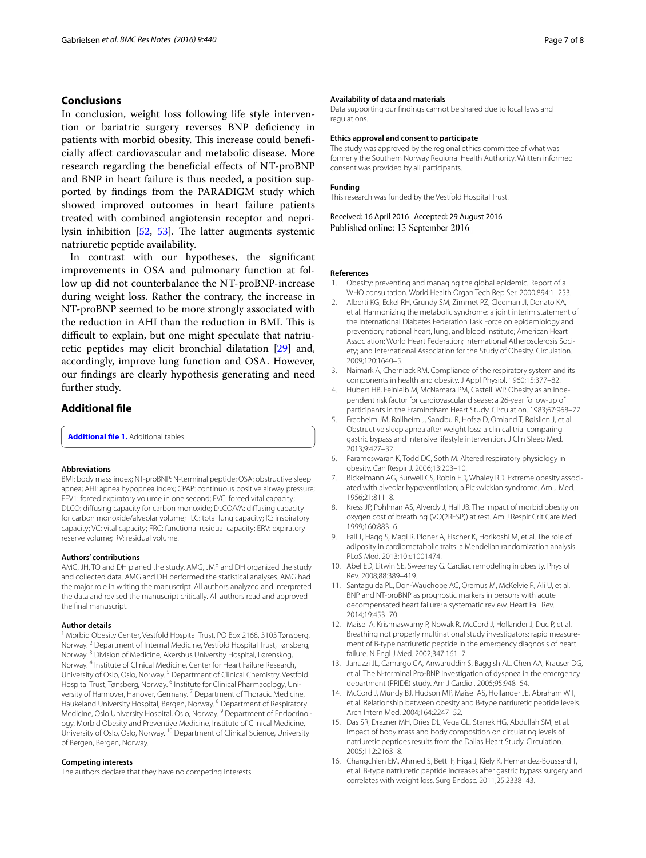# **Conclusions**

In conclusion, weight loss following life style intervention or bariatric surgery reverses BNP deficiency in patients with morbid obesity. This increase could beneficially affect cardiovascular and metabolic disease. More research regarding the beneficial effects of NT-proBNP and BNP in heart failure is thus needed, a position supported by findings from the PARADIGM study which showed improved outcomes in heart failure patients treated with combined angiotensin receptor and neprilysin inhibition [\[52](#page-7-29), [53\]](#page-7-30). The latter augments systemic natriuretic peptide availability.

In contrast with our hypotheses, the significant improvements in OSA and pulmonary function at follow up did not counterbalance the NT-proBNP-increase during weight loss. Rather the contrary, the increase in NT-proBNP seemed to be more strongly associated with the reduction in AHI than the reduction in BMI. This is difficult to explain, but one might speculate that natriuretic peptides may elicit bronchial dilatation [[29](#page-7-7)] and, accordingly, improve lung function and OSA. However, our findings are clearly hypothesis generating and need further study.

# **Additional file**

<span id="page-6-12"></span>**[Additional file 1.](http://dx.doi.org/10.1186/s13104-016-2241-x)** Additional tables.

#### **Abbreviations**

BMI: body mass index; NT-proBNP: N-terminal peptide; OSA: obstructive sleep apnea; AHI: apnea hypopnea index; CPAP: continuous positive airway pressure; FEV1: forced expiratory volume in one second; FVC: forced vital capacity; DLCO: diffusing capacity for carbon monoxide; DLCO/VA: diffusing capacity for carbon monoxide/alveolar volume; TLC: total lung capacity; IC: inspiratory capacity; VC: vital capacity; FRC: functional residual capacity; ERV: expiratory reserve volume; RV: residual volume.

#### **Authors' contributions**

AMG, JH, TO and DH planed the study. AMG, JMF and DH organized the study and collected data. AMG and DH performed the statistical analyses. AMG had the major role in writing the manuscript. All authors analyzed and interpreted the data and revised the manuscript critically. All authors read and approved the final manuscript.

#### **Author details**

<sup>1</sup> Morbid Obesity Center, Vestfold Hospital Trust, PO Box 2168, 3103 Tønsberg, Norway. <sup>2</sup> Department of Internal Medicine, Vestfold Hospital Trust, Tønsberg, Norway. <sup>3</sup> Division of Medicine, Akershus University Hospital, Lørenskog, Norway. <sup>4</sup> Institute of Clinical Medicine, Center for Heart Failure Research, University of Oslo, Oslo, Norway. <sup>5</sup> Department of Clinical Chemistry, Vestfold Hospital Trust, Tønsberg, Norway. <sup>6</sup> Institute for Clinical Pharmacology, University of Hannover, Hanover, Germany.<sup>7</sup> Department of Thoracic Medicine, Haukeland University Hospital, Bergen, Norway. 8 Department of Respiratory Medicine, Oslo University Hospital, Oslo, Norway.<sup>9</sup> Department of Endocrinology, Morbid Obesity and Preventive Medicine, Institute of Clinical Medicine, University of Oslo, Oslo, Norway. 10 Department of Clinical Science, University of Bergen, Bergen, Norway.

#### **Competing interests**

The authors declare that they have no competing interests.

#### **Availability of data and materials**

Data supporting our findings cannot be shared due to local laws and regulations.

#### **Ethics approval and consent to participate**

The study was approved by the regional ethics committee of what was formerly the Southern Norway Regional Health Authority. Written informed consent was provided by all participants.

#### **Funding**

This research was funded by the Vestfold Hospital Trust.

Received: 16 April 2016 Accepted: 29 August 2016 Published online: 13 September 2016

#### **References**

- <span id="page-6-0"></span>1. Obesity: preventing and managing the global epidemic. Report of a WHO consultation. World Health Organ Tech Rep Ser. 2000;894:1–253.
- 2. Alberti KG, Eckel RH, Grundy SM, Zimmet PZ, Cleeman JI, Donato KA, et al. Harmonizing the metabolic syndrome: a joint interim statement of the International Diabetes Federation Task Force on epidemiology and prevention; national heart, lung, and blood institute; American Heart Association; World Heart Federation; International Atherosclerosis Society; and International Association for the Study of Obesity. Circulation. 2009;120:1640–5.
- 3. Naimark A, Cherniack RM. Compliance of the respiratory system and its components in health and obesity. J Appl Physiol. 1960;15:377–82.
- <span id="page-6-1"></span>4. Hubert HB, Feinleib M, McNamara PM, Castelli WP. Obesity as an independent risk factor for cardiovascular disease: a 26-year follow-up of participants in the Framingham Heart Study. Circulation. 1983;67:968–77.
- <span id="page-6-2"></span>5. Fredheim JM, Rollheim J, Sandbu R, Hofsø D, Omland T, Røislien J, et al. Obstructive sleep apnea after weight loss: a clinical trial comparing gastric bypass and intensive lifestyle intervention. J Clin Sleep Med. 2013;9:427–32.
- <span id="page-6-3"></span>6. Parameswaran K, Todd DC, Soth M. Altered respiratory physiology in obesity. Can Respir J. 2006;13:203–10.
- 7. Bickelmann AG, Burwell CS, Robin ED, Whaley RD. Extreme obesity associated with alveolar hypoventilation; a Pickwickian syndrome. Am J Med. 1956;21:811–8.
- <span id="page-6-4"></span>8. Kress JP, Pohlman AS, Alverdy J, Hall JB. The impact of morbid obesity on oxygen cost of breathing (VO(2RESP)) at rest. Am J Respir Crit Care Med. 1999;160:883–6.
- <span id="page-6-5"></span>9. Fall T, Hagg S, Magi R, Ploner A, Fischer K, Horikoshi M, et al. The role of adiposity in cardiometabolic traits: a Mendelian randomization analysis. PLoS Med. 2013;10:e1001474.
- <span id="page-6-6"></span>10. Abel ED, Litwin SE, Sweeney G. Cardiac remodeling in obesity. Physiol Rev. 2008;88:389–419.
- <span id="page-6-7"></span>11. Santaguida PL, Don-Wauchope AC, Oremus M, McKelvie R, Ali U, et al. BNP and NT-proBNP as prognostic markers in persons with acute decompensated heart failure: a systematic review. Heart Fail Rev. 2014;19:453–70.
- 12. Maisel A, Krishnaswamy P, Nowak R, McCord J, Hollander J, Duc P, et al. Breathing not properly multinational study investigators: rapid measurement of B-type natriuretic peptide in the emergency diagnosis of heart failure. N Engl J Med. 2002;347:161–7.
- <span id="page-6-8"></span>13. Januzzi JL, Camargo CA, Anwaruddin S, Baggish AL, Chen AA, Krauser DG, et al. The N-terminal Pro-BNP investigation of dyspnea in the emergency department (PRIDE) study. Am J Cardiol. 2005;95:948–54.
- <span id="page-6-9"></span>14. McCord J, Mundy BJ, Hudson MP, Maisel AS, Hollander JE, Abraham WT, et al. Relationship between obesity and B-type natriuretic peptide levels. Arch Intern Med. 2004;164:2247–52.
- <span id="page-6-10"></span>15. Das SR, Drazner MH, Dries DL, Vega GL, Stanek HG, Abdullah SM, et al. Impact of body mass and body composition on circulating levels of natriuretic peptides results from the Dallas Heart Study. Circulation. 2005;112:2163–8.
- <span id="page-6-11"></span>16. Changchien EM, Ahmed S, Betti F, Higa J, Kiely K, Hernandez-Boussard T, et al. B-type natriuretic peptide increases after gastric bypass surgery and correlates with weight loss. Surg Endosc. 2011;25:2338–43.